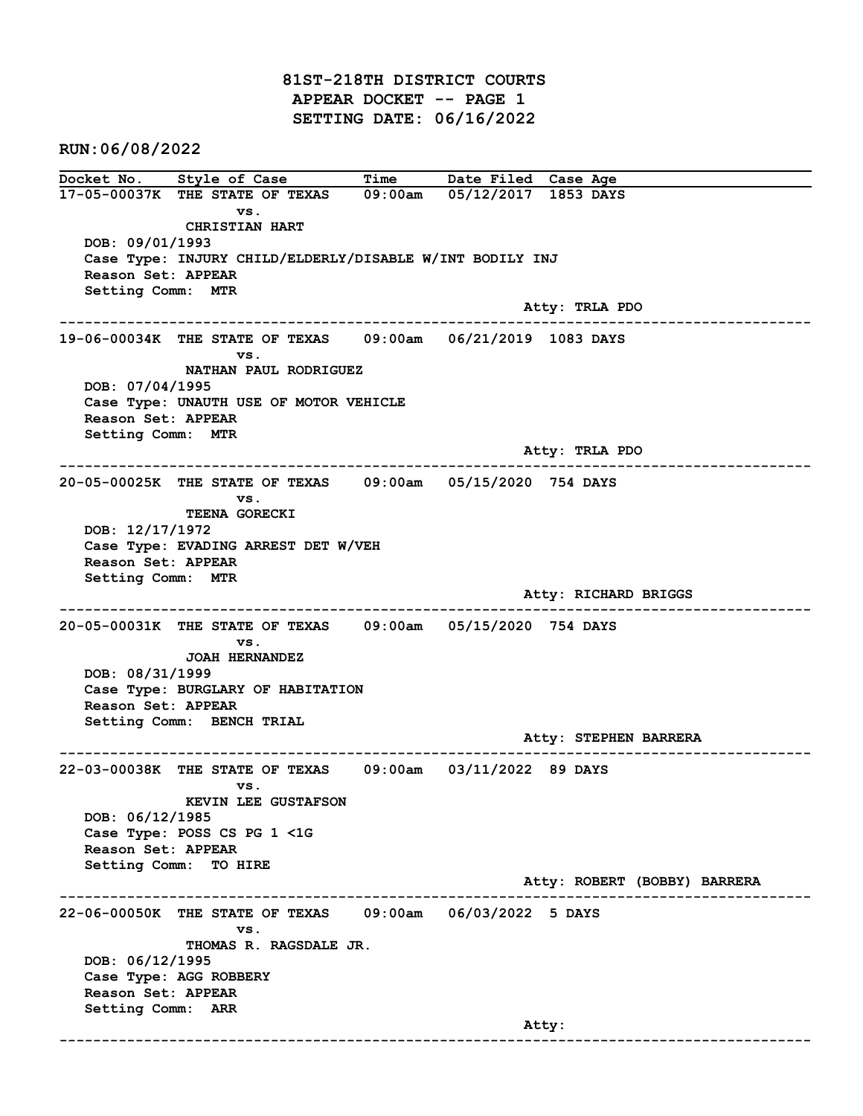81ST-218TH DISTRICT COURTS APPEAR DOCKET -- PAGE 1 SETTING DATE: 06/16/2022

RUN:06/08/2022

Docket No. Style of Case Time Date Filed Case Age 17-05-00037K THE STATE OF TEXAS 09:00am 05/12/2017 1853 DAYS vs. CHRISTIAN HART DOB: 09/01/1993 Case Type: INJURY CHILD/ELDERLY/DISABLE W/INT BODILY INJ Reason Set: APPEAR Setting Comm: MTR Atty: TRLA PDO ------------------------------------------------------------------------------------------------------------------------ 19-06-00034K THE STATE OF TEXAS 09:00am 06/21/2019 1083 DAYS vs. NATHAN PAUL RODRIGUEZ DOB: 07/04/1995 Case Type: UNAUTH USE OF MOTOR VEHICLE Reason Set: APPEAR Setting Comm: MTR Atty: TRLA PDO ------------------------------------------------------------------------------------------------------------------------ 20-05-00025K THE STATE OF TEXAS 09:00am 05/15/2020 754 DAYS vs. TEENA GORECKI DOB: 12/17/1972 Case Type: EVADING ARREST DET W/VEH Reason Set: APPEAR Setting Comm: MTR Atty: RICHARD BRIGGS ------------------------------------------------------------------------------------------------------------------------ 20-05-00031K THE STATE OF TEXAS 09:00am 05/15/2020 754 DAYS vs. JOAH HERNANDEZ DOB: 08/31/1999 Case Type: BURGLARY OF HABITATION Reason Set: APPEAR Setting Comm: BENCH TRIAL Atty: STEPHEN BARRERA ------------------------------------------------------------------------------------------------------------------------ 22-03-00038K THE STATE OF TEXAS 09:00am 03/11/2022 89 DAYS vs. KEVIN LEE GUSTAFSON DOB: 06/12/1985 Case Type: POSS CS PG 1 <1G Reason Set: APPEAR Setting Comm: TO HIRE Atty: ROBERT (BOBBY) BARRERA ------------------------------------------------------------------------------------------------------------------------ 22-06-00050K THE STATE OF TEXAS 09:00am 06/03/2022 5 DAYS vs. THOMAS R. RAGSDALE JR. DOB: 06/12/1995 Case Type: AGG ROBBERY Reason Set: APPEAR Setting Comm: ARR example of the contract of the contract of the contract of the contract of the contract of the contract of the contract of the contract of the contract of the contract of the contract of the contract of the contract of the ------------------------------------------------------------------------------------------------------------------------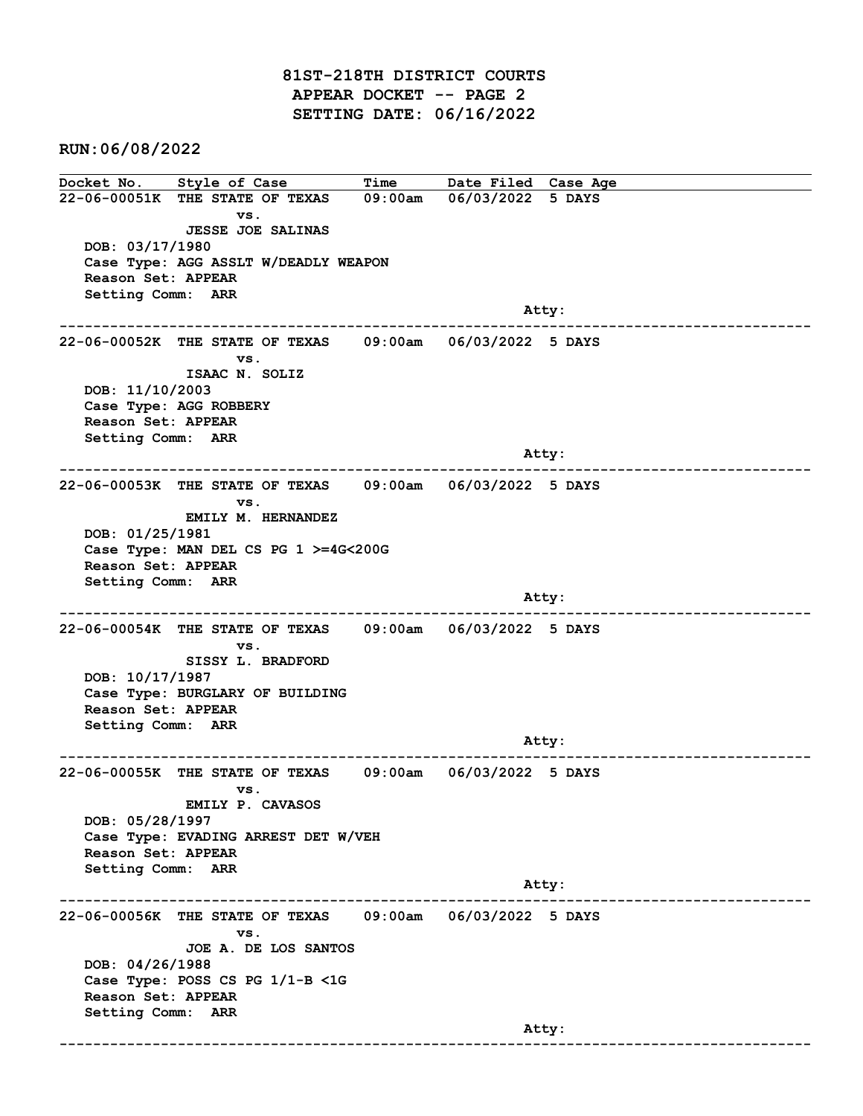81ST-218TH DISTRICT COURTS APPEAR DOCKET -- PAGE 2 SETTING DATE: 06/16/2022

RUN:06/08/2022

Docket No. Style of Case Time Date Filed Case Age 22-06-00051K THE STATE OF TEXAS 09:00am 06/03/2022 5 DAYS vs. JESSE JOE SALINAS DOB: 03/17/1980 Case Type: AGG ASSLT W/DEADLY WEAPON Reason Set: APPEAR Setting Comm: ARR and the control of the control of the control of the control of the control of the control of the control of the control of the control of the control of the control of the control of the control of the control of the cont ------------------------------------------------------------------------------------------------------------------------ 22-06-00052K THE STATE OF TEXAS 09:00am 06/03/2022 5 DAYS vs. ISAAC N. SOLIZ DOB: 11/10/2003 Case Type: AGG ROBBERY Reason Set: APPEAR Setting Comm: ARR Atty: ------------------------------------------------------------------------------------------------------------------------ 22-06-00053K THE STATE OF TEXAS 09:00am 06/03/2022 5 DAYS vs. EMILY M. HERNANDEZ DOB: 01/25/1981 Case Type: MAN DEL CS PG 1 >=4G<200G Reason Set: APPEAR Setting Comm: ARR and the control of the control of the control of the control of the control of the control of the control of the control of the control of the control of the control of the control of the control of the control of the cont ------------------------------------------------------------------------------------------------------------------------ 22-06-00054K THE STATE OF TEXAS 09:00am 06/03/2022 5 DAYS vs. SISSY L. BRADFORD DOB: 10/17/1987 Case Type: BURGLARY OF BUILDING Reason Set: APPEAR Setting Comm: ARR example of the contract of the contract of the contract of the contract of the contract of the contract of the contract of the contract of the contract of the contract of the contract of the contract of the contract of the ------------------------------------------------------------------------------------------------------------------------ 22-06-00055K THE STATE OF TEXAS 09:00am 06/03/2022 5 DAYS vs. EMILY P. CAVASOS DOB: 05/28/1997 Case Type: EVADING ARREST DET W/VEH Reason Set: APPEAR Setting Comm: ARR Atty: ------------------------------------------------------------------------------------------------------------------------ 22-06-00056K THE STATE OF TEXAS 09:00am 06/03/2022 5 DAYS vs. JOE A. DE LOS SANTOS DOB: 04/26/1988 Case Type: POSS CS PG 1/1-B <1G Reason Set: APPEAR Setting Comm: ARR and the control of the control of the control of the control of the control of the control of the control of the control of the control of the control of the control of the control of the control of the control of the cont ------------------------------------------------------------------------------------------------------------------------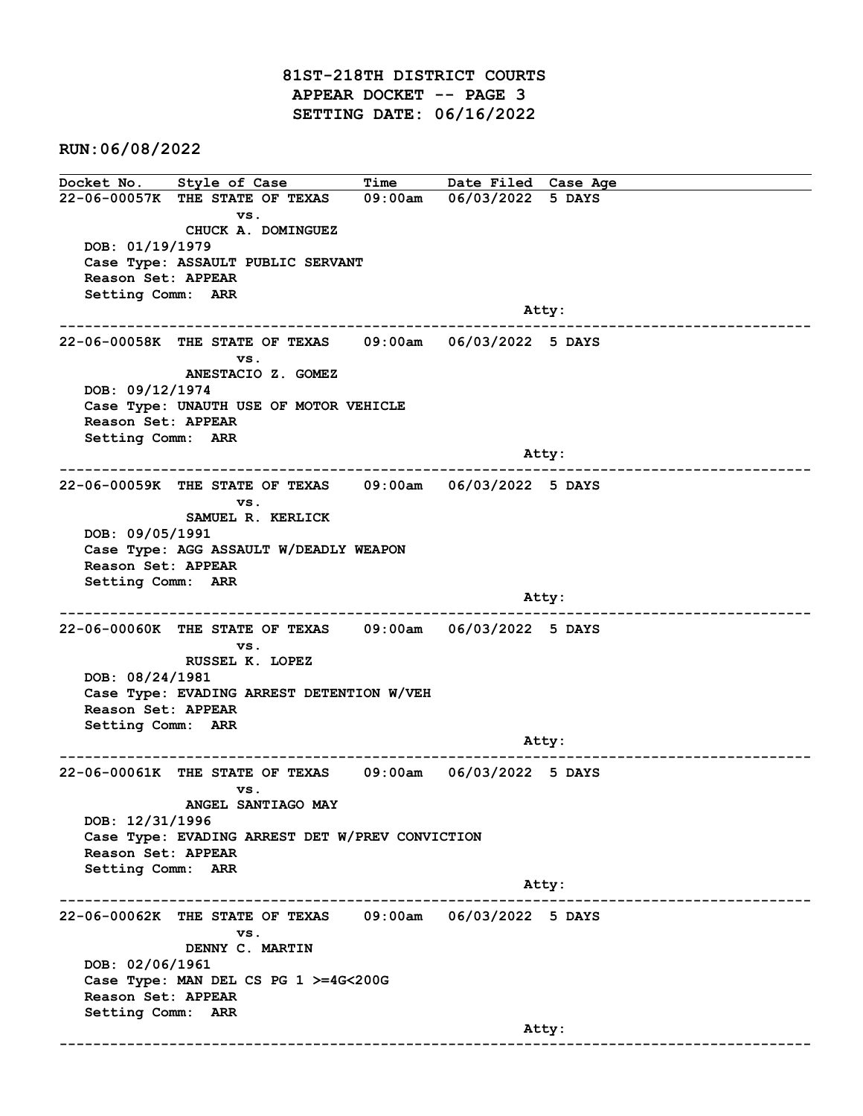81ST-218TH DISTRICT COURTS APPEAR DOCKET -- PAGE 3 SETTING DATE: 06/16/2022

RUN:06/08/2022

Docket No. Style of Case Time Date Filed Case Age 22-06-00057K THE STATE OF TEXAS 09:00am 06/03/2022 5 DAYS vs. CHUCK A. DOMINGUEZ DOB: 01/19/1979 Case Type: ASSAULT PUBLIC SERVANT Reason Set: APPEAR Setting Comm: ARR and the control of the control of the control of the control of the control of the control of the control of the control of the control of the control of the control of the control of the control of the control of the cont ------------------------------------------------------------------------------------------------------------------------ 22-06-00058K THE STATE OF TEXAS 09:00am 06/03/2022 5 DAYS vs. ANESTACIO Z. GOMEZ DOB: 09/12/1974 Case Type: UNAUTH USE OF MOTOR VEHICLE Reason Set: APPEAR Setting Comm: ARR Atty: ------------------------------------------------------------------------------------------------------------------------ 22-06-00059K THE STATE OF TEXAS 09:00am 06/03/2022 5 DAYS vs. SAMUEL R. KERLICK DOB: 09/05/1991 Case Type: AGG ASSAULT W/DEADLY WEAPON Reason Set: APPEAR Setting Comm: ARR and the control of the control of the control of the control of the control of the control of the control of the control of the control of the control of the control of the control of the control of the control of the cont ------------------------------------------------------------------------------------------------------------------------ 22-06-00060K THE STATE OF TEXAS 09:00am 06/03/2022 5 DAYS vs. RUSSEL K. LOPEZ DOB: 08/24/1981 Case Type: EVADING ARREST DETENTION W/VEH Reason Set: APPEAR Setting Comm: ARR example of the contract of the contract of the contract of the contract of the contract of the contract of the contract of the contract of the contract of the contract of the contract of the contract of the contract of the ------------------------------------------------------------------------------------------------------------------------ 22-06-00061K THE STATE OF TEXAS 09:00am 06/03/2022 5 DAYS vs. ANGEL SANTIAGO MAY DOB: 12/31/1996 Case Type: EVADING ARREST DET W/PREV CONVICTION Reason Set: APPEAR Setting Comm: ARR Atty: ------------------------------------------------------------------------------------------------------------------------ 22-06-00062K THE STATE OF TEXAS 09:00am 06/03/2022 5 DAYS vs. DENNY C. MARTIN DOB: 02/06/1961 Case Type: MAN DEL CS PG 1 >=4G<200G Reason Set: APPEAR Setting Comm: ARR and the control of the control of the control of the control of the control of the control of the control of the control of the control of the control of the control of the control of the control of the control of the cont ------------------------------------------------------------------------------------------------------------------------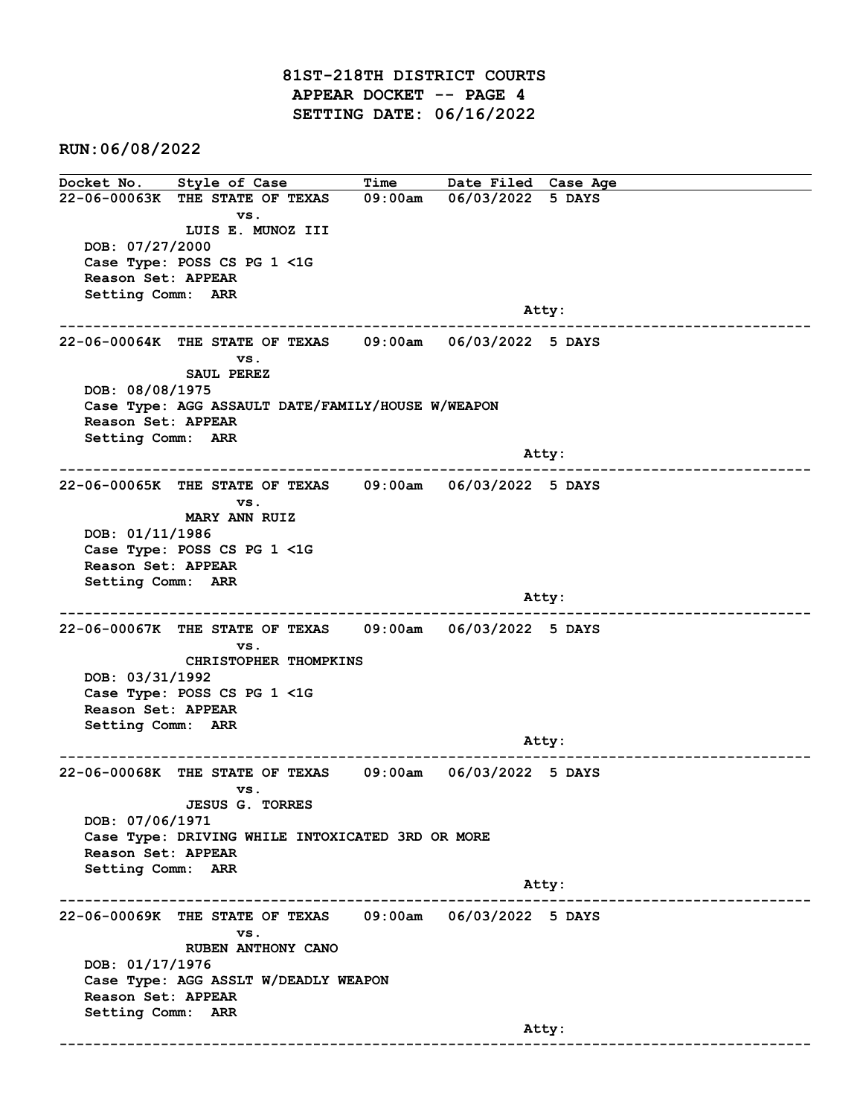81ST-218TH DISTRICT COURTS APPEAR DOCKET -- PAGE 4 SETTING DATE: 06/16/2022

RUN:06/08/2022

Docket No. Style of Case Time Date Filed Case Age 22-06-00063K THE STATE OF TEXAS 09:00am 06/03/2022 5 DAYS vs. LUIS E. MUNOZ III DOB: 07/27/2000 Case Type: POSS CS PG 1 <1G Reason Set: APPEAR Setting Comm: ARR and the control of the control of the control of the control of the control of the control of the control of the control of the control of the control of the control of the control of the control of the control of the cont ------------------------------------------------------------------------------------------------------------------------ 22-06-00064K THE STATE OF TEXAS 09:00am 06/03/2022 5 DAYS vs. SAUL PEREZ DOB: 08/08/1975 Case Type: AGG ASSAULT DATE/FAMILY/HOUSE W/WEAPON Reason Set: APPEAR Setting Comm: ARR and the control of the control of the control of the control of the control of the control of the control of the control of the control of the control of the control of the control of the control of the control of the cont ------------------------------------------------------------------------------------------------------------------------ 22-06-00065K THE STATE OF TEXAS 09:00am 06/03/2022 5 DAYS vs. MARY ANN RUIZ DOB: 01/11/1986 Case Type: POSS CS PG 1 <1G Reason Set: APPEAR Setting Comm: ARR and the control of the control of the control of the control of the control of the control of the control of the control of the control of the control of the control of the control of the control of the control of the cont ------------------------------------------------------------------------------------------------------------------------ 22-06-00067K THE STATE OF TEXAS 09:00am 06/03/2022 5 DAYS vs. CHRISTOPHER THOMPKINS DOB: 03/31/1992 Case Type: POSS CS PG 1 <1G Reason Set: APPEAR Setting Comm: ARR example of the contract of the contract of the contract of the contract of the contract of the contract of the contract of the contract of the contract of the contract of the contract of the contract of the contract of the ------------------------------------------------------------------------------------------------------------------------ 22-06-00068K THE STATE OF TEXAS 09:00am 06/03/2022 5 DAYS vs. JESUS G. TORRES DOB: 07/06/1971 Case Type: DRIVING WHILE INTOXICATED 3RD OR MORE Reason Set: APPEAR Setting Comm: ARR Atty: ------------------------------------------------------------------------------------------------------------------------ 22-06-00069K THE STATE OF TEXAS 09:00am 06/03/2022 5 DAYS vs. RUBEN ANTHONY CANO DOB: 01/17/1976 Case Type: AGG ASSLT W/DEADLY WEAPON Reason Set: APPEAR Setting Comm: ARR and the control of the control of the control of the control of the control of the control of the control of the control of the control of the control of the control of the control of the control of the control of the cont ------------------------------------------------------------------------------------------------------------------------